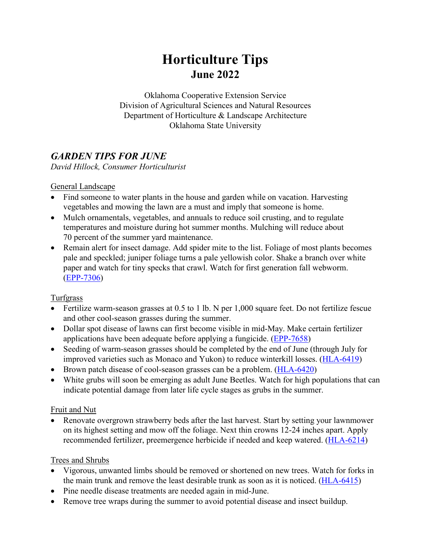# **Horticulture Tips June 2022**

Oklahoma Cooperative Extension Service Division of Agricultural Sciences and Natural Resources Department of Horticulture & Landscape Architecture Oklahoma State University

# *GARDEN TIPS FOR JUNE*

*David Hillock, Consumer Horticulturist*

#### General Landscape

- Find someone to water plants in the house and garden while on vacation. Harvesting vegetables and mowing the lawn are a must and imply that someone is home.
- Mulch ornamentals, vegetables, and annuals to reduce soil crusting, and to regulate temperatures and moisture during hot summer months. Mulching will reduce about 70 percent of the summer yard maintenance.
- Remain alert for insect damage. Add spider mite to the list. Foliage of most plants becomes pale and speckled; juniper foliage turns a pale yellowish color. Shake a branch over white paper and watch for tiny specks that crawl. Watch for first generation fall webworm. [\(EPP-7306\)](https://extension.okstate.edu/fact-sheets/ornamental-and-lawn-pest-control-for-homeowners.html)

#### **Turfgrass**

- Fertilize warm-season grasses at 0.5 to 1 lb. N per 1,000 square feet. Do not fertilize fescue and other cool-season grasses during the summer.
- Dollar spot disease of lawns can first become visible in mid-May. Make certain fertilizer applications have been adequate before applying a fungicide. [\(EPP-7658\)](https://extension.okstate.edu/fact-sheets/dollar-spot-of-turfgrass.html)
- Seeding of warm-season grasses should be completed by the end of June (through July for improved varieties such as Monaco and Yukon) to reduce winterkill losses. [\(HLA-6419\)](https://extension.okstate.edu/fact-sheets/establishing-a-lawn-in-oklahoma.html)
- Brown patch disease of cool-season grasses can be a problem. [\(HLA-6420\)](https://extension.okstate.edu/fact-sheets/lawn-management-in-oklahoma.html)
- White grubs will soon be emerging as adult June Beetles. Watch for high populations that can indicate potential damage from later life cycle stages as grubs in the summer.

#### Fruit and Nut

• Renovate overgrown strawberry beds after the last harvest. Start by setting your lawnmower on its highest setting and mow off the foliage. Next thin crowns 12-24 inches apart. Apply recommended fertilizer, preemergence herbicide if needed and keep watered. [\(HLA-6214\)](https://extension.okstate.edu/fact-sheets/growing-strawberries-in-the-home-garden.html)

#### Trees and Shrubs

- Vigorous, unwanted limbs should be removed or shortened on new trees. Watch for forks in the main trunk and remove the least desirable trunk as soon as it is noticed. [\(HLA-6415\)](https://extension.okstate.edu/fact-sheets/training-young-shade-and-ornamental-trees.html)
- Pine needle disease treatments are needed again in mid-June.
- Remove tree wraps during the summer to avoid potential disease and insect buildup.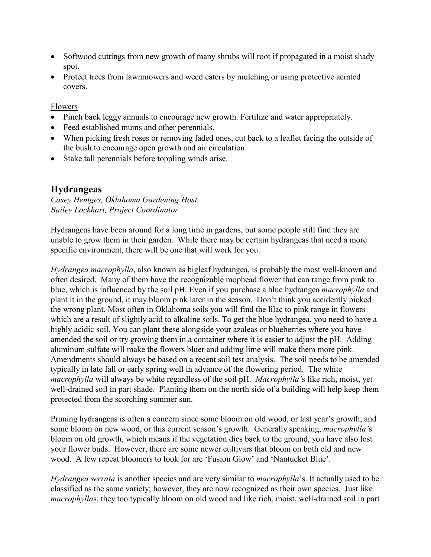- Softwood cuttings from new growth of many shrubs will root if propagated in a moist shady spot.
- Protect trees from lawnmowers and weed eaters by mulching or using protective aerated covers.

Flowers

- Pinch back leggy annuals to encourage new growth. Fertilize and water appropriately.
- Feed established mums and other perennials.
- When picking fresh roses or removing faded ones, cut back to a leaflet facing the outside of the bush to encourage open growth and air circulation.
- Stake tall perennials before toppling winds arise.

## **Hydrangeas**

*Casey Hentges, Oklahoma Gardening Host Bailey Lockhart, Project Coordinator* 

Hydrangeas have been around for a long time in gardens, but some people still find they are unable to grow them in their garden. While there may be certain hydrangeas that need a more specific environment, there will be one that will work for you.

*Hydrangea macrophylla*, also known as bigleaf hydrangea, is probably the most well-known and often desired. Many of them have the recognizable mophead flower that can range from pink to blue, which is influenced by the soil pH. Even if you purchase a blue hydrangea *macrophylla* and plant it in the ground, it may bloom pink later in the season. Don't think you accidently picked the wrong plant. Most often in Oklahoma soils you will find the lilac to pink range in flowers which are a result of slightly acid to alkaline soils. To get the blue hydrangea, you need to have a highly acidic soil. You can plant these alongside your azaleas or blueberries where you have amended the soil or try growing them in a container where it is easier to adjust the pH. Adding aluminum sulfate will make the flowers bluer and adding lime will make them more pink. Amendments should always be based on a recent soil test analysis. The soil needs to be amended typically in late fall or early spring well in advance of the flowering period. The white *macrophylla* will always be white regardless of the soil pH. *Macrophylla'*s like rich, moist, yet well-drained soil in part shade. Planting them on the north side of a building will help keep them protected from the scorching summer sun.

Pruning hydrangeas is often a concern since some bloom on old wood, or last year's growth, and some bloom on new wood, or this current season's growth. Generally speaking, *macrophylla'*s bloom on old growth, which means if the vegetation dies back to the ground, you have also lost your flower buds. However, there are some newer cultivars that bloom on both old and new wood. A few repeat bloomers to look for are 'Fusion Glow' and 'Nantucket Blue'.

*Hydrangea serrata* is another species and are very similar to *macrophylla*'s. It actually used to be classified as the same variety; however, they are now recognized as their own species. Just like *macrophylla*s, they too typically bloom on old wood and like rich, moist, well-drained soil in part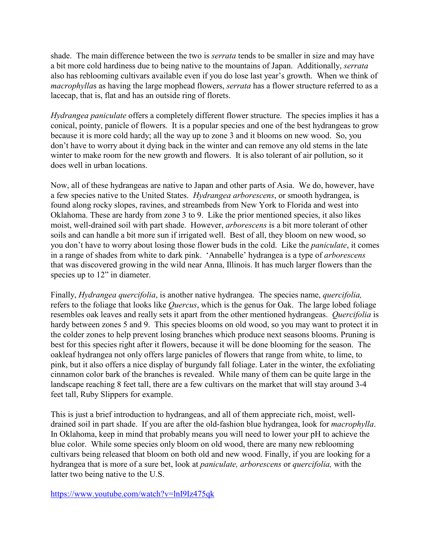shade. The main difference between the two is *serrata* tends to be smaller in size and may have a bit more cold hardiness due to being native to the mountains of Japan. Additionally, *serrata* also has reblooming cultivars available even if you do lose last year's growth. When we think of *macrophylla*s as having the large mophead flowers, *serrata* has a flower structure referred to as a lacecap, that is, flat and has an outside ring of florets.

*Hydrangea paniculate* offers a completely different flower structure. The species implies it has a conical, pointy, panicle of flowers. It is a popular species and one of the best hydrangeas to grow because it is more cold hardy; all the way up to zone 3 and it blooms on new wood. So, you don't have to worry about it dying back in the winter and can remove any old stems in the late winter to make room for the new growth and flowers. It is also tolerant of air pollution, so it does well in urban locations.

Now, all of these hydrangeas are native to Japan and other parts of Asia. We do, however, have a few species native to the United States. *Hydrangea arborescens*, or smooth hydrangea, is found along rocky slopes, ravines, and streambeds from New York to Florida and west into Oklahoma. These are hardy from zone 3 to 9. Like the prior mentioned species, it also likes moist, well-drained soil with part shade. However, *arborescens* is a bit more tolerant of other soils and can handle a bit more sun if irrigated well. Best of all, they bloom on new wood, so you don't have to worry about losing those flower buds in the cold. Like the *paniculate*, it comes in a range of shades from white to dark pink. 'Annabelle' hydrangea is a type of *arborescens* that was discovered growing in the wild near Anna, Illinois. It has much larger flowers than the species up to 12" in diameter.

Finally, *Hydrangea quercifolia*, is another native hydrangea. The species name, *quercifolia,* refers to the foliage that looks like *Quercus*, which is the genus for Oak. The large lobed foliage resembles oak leaves and really sets it apart from the other mentioned hydrangeas. *Quercifolia* is hardy between zones 5 and 9. This species blooms on old wood, so you may want to protect it in the colder zones to help prevent losing branches which produce next seasons blooms. Pruning is best for this species right after it flowers, because it will be done blooming for the season. The oakleaf hydrangea not only offers large panicles of flowers that range from white, to lime, to pink, but it also offers a nice display of burgundy fall foliage. Later in the winter, the exfoliating cinnamon color bark of the branches is revealed. While many of them can be quite large in the landscape reaching 8 feet tall, there are a few cultivars on the market that will stay around 3-4 feet tall, Ruby Slippers for example.

This is just a brief introduction to hydrangeas, and all of them appreciate rich, moist, welldrained soil in part shade. If you are after the old-fashion blue hydrangea, look for *macrophylla*. In Oklahoma, keep in mind that probably means you will need to lower your pH to achieve the blue color. While some species only bloom on old wood, there are many new reblooming cultivars being released that bloom on both old and new wood. Finally, if you are looking for a hydrangea that is more of a sure bet, look at *paniculate, arborescens* or *quercifolia,* with the latter two being native to the U.S.

<https://www.youtube.com/watch?v=lnI9Iz475qk>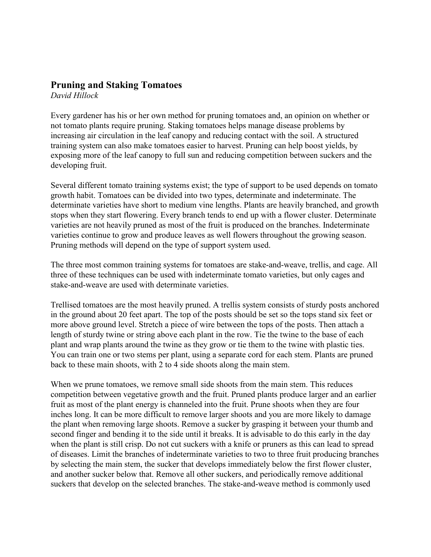#### **Pruning and Staking Tomatoes**

*David Hillock*

Every gardener has his or her own method for pruning tomatoes and, an opinion on whether or not tomato plants require pruning. Staking tomatoes helps manage disease problems by increasing air circulation in the leaf canopy and reducing contact with the soil. A structured training system can also make tomatoes easier to harvest. Pruning can help boost yields, by exposing more of the leaf canopy to full sun and reducing competition between suckers and the developing fruit.

Several different tomato training systems exist; the type of support to be used depends on tomato growth habit. Tomatoes can be divided into two types, determinate and indeterminate. The determinate varieties have short to medium vine lengths. Plants are heavily branched, and growth stops when they start flowering. Every branch tends to end up with a flower cluster. Determinate varieties are not heavily pruned as most of the fruit is produced on the branches. Indeterminate varieties continue to grow and produce leaves as well flowers throughout the growing season. Pruning methods will depend on the type of support system used.

The three most common training systems for tomatoes are stake-and-weave, trellis, and cage. All three of these techniques can be used with indeterminate tomato varieties, but only cages and stake-and-weave are used with determinate varieties.

Trellised tomatoes are the most heavily pruned. A trellis system consists of sturdy posts anchored in the ground about 20 feet apart. The top of the posts should be set so the tops stand six feet or more above ground level. Stretch a piece of wire between the tops of the posts. Then attach a length of sturdy twine or string above each plant in the row. Tie the twine to the base of each plant and wrap plants around the twine as they grow or tie them to the twine with plastic ties. You can train one or two stems per plant, using a separate cord for each stem. Plants are pruned back to these main shoots, with 2 to 4 side shoots along the main stem.

When we prune tomatoes, we remove small side shoots from the main stem. This reduces competition between vegetative growth and the fruit. Pruned plants produce larger and an earlier fruit as most of the plant energy is channeled into the fruit. Prune shoots when they are four inches long. It can be more difficult to remove larger shoots and you are more likely to damage the plant when removing large shoots. Remove a sucker by grasping it between your thumb and second finger and bending it to the side until it breaks. It is advisable to do this early in the day when the plant is still crisp. Do not cut suckers with a knife or pruners as this can lead to spread of diseases. Limit the branches of indeterminate varieties to two to three fruit producing branches by selecting the main stem, the sucker that develops immediately below the first flower cluster, and another sucker below that. Remove all other suckers, and periodically remove additional suckers that develop on the selected branches. The stake-and-weave method is commonly used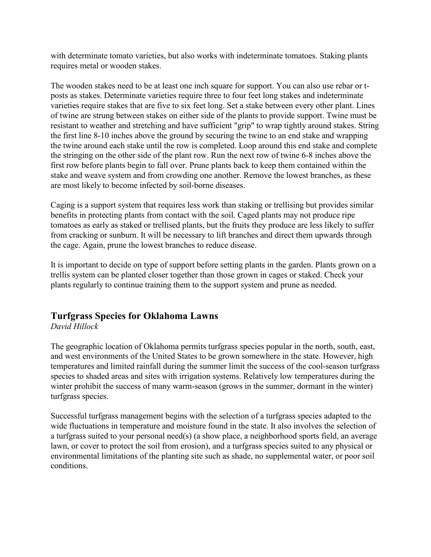with determinate tomato varieties, but also works with indeterminate tomatoes. Staking plants requires metal or wooden stakes.

The wooden stakes need to be at least one inch square for support. You can also use rebar or tposts as stakes. Determinate varieties require three to four feet long stakes and indeterminate varieties require stakes that are five to six feet long. Set a stake between every other plant. Lines of twine are strung between stakes on either side of the plants to provide support. Twine must be resistant to weather and stretching and have sufficient "grip" to wrap tightly around stakes. String the first line 8-10 inches above the ground by securing the twine to an end stake and wrapping the twine around each stake until the row is completed. Loop around this end stake and complete the stringing on the other side of the plant row. Run the next row of twine 6-8 inches above the first row before plants begin to fall over. Prune plants back to keep them contained within the stake and weave system and from crowding one another. Remove the lowest branches, as these are most likely to become infected by soil-borne diseases.

Caging is a support system that requires less work than staking or trellising but provides similar benefits in protecting plants from contact with the soil. Caged plants may not produce ripe tomatoes as early as staked or trellised plants, but the fruits they produce are less likely to suffer from cracking or sunburn. It will be necessary to lift branches and direct them upwards through the cage. Again, prune the lowest branches to reduce disease.

It is important to decide on type of support before setting plants in the garden. Plants grown on a trellis system can be planted closer together than those grown in cages or staked. Check your plants regularly to continue training them to the support system and prune as needed.

## **Turfgrass Species for Oklahoma Lawns**

#### *David Hillock*

The geographic location of Oklahoma permits turfgrass species popular in the north, south, east, and west environments of the United States to be grown somewhere in the state. However, high temperatures and limited rainfall during the summer limit the success of the cool-season turfgrass species to shaded areas and sites with irrigation systems. Relatively low temperatures during the winter prohibit the success of many warm-season (grows in the summer, dormant in the winter) turfgrass species.

Successful turfgrass management begins with the selection of a turfgrass species adapted to the wide fluctuations in temperature and moisture found in the state. It also involves the selection of a turfgrass suited to your personal need(s) (a show place, a neighborhood sports field, an average lawn, or cover to protect the soil from erosion), and a turfgrass species suited to any physical or environmental limitations of the planting site such as shade, no supplemental water, or poor soil conditions.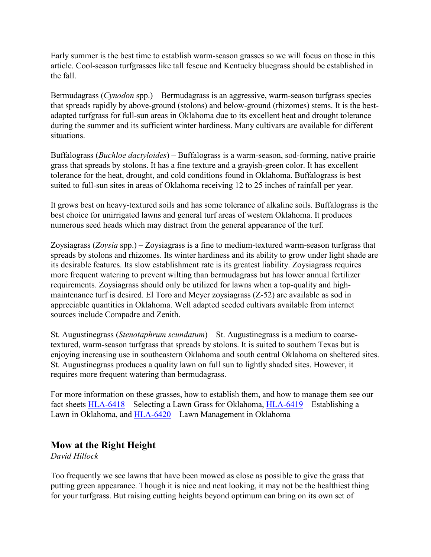Early summer is the best time to establish warm-season grasses so we will focus on those in this article. Cool-season turfgrasses like tall fescue and Kentucky bluegrass should be established in the fall.

Bermudagrass (*Cynodon* spp.) – Bermudagrass is an aggressive, warm-season turfgrass species that spreads rapidly by above-ground (stolons) and below-ground (rhizomes) stems. It is the bestadapted turfgrass for full-sun areas in Oklahoma due to its excellent heat and drought tolerance during the summer and its sufficient winter hardiness. Many cultivars are available for different situations.

Buffalograss (*Buchloe dactyloides*) – Buffalograss is a warm-season, sod-forming, native prairie grass that spreads by stolons. It has a fine texture and a grayish-green color. It has excellent tolerance for the heat, drought, and cold conditions found in Oklahoma. Buffalograss is best suited to full-sun sites in areas of Oklahoma receiving 12 to 25 inches of rainfall per year.

It grows best on heavy-textured soils and has some tolerance of alkaline soils. Buffalograss is the best choice for unirrigated lawns and general turf areas of western Oklahoma. It produces numerous seed heads which may distract from the general appearance of the turf.

Zoysiagrass (*Zoysia* spp.) – Zoysiagrass is a fine to medium-textured warm-season turfgrass that spreads by stolons and rhizomes. Its winter hardiness and its ability to grow under light shade are its desirable features. Its slow establishment rate is its greatest liability. Zoysiagrass requires more frequent watering to prevent wilting than bermudagrass but has lower annual fertilizer requirements. Zoysiagrass should only be utilized for lawns when a top-quality and highmaintenance turf is desired. El Toro and Meyer zoysiagrass (Z-52) are available as sod in appreciable quantities in Oklahoma. Well adapted seeded cultivars available from internet sources include Compadre and Zenith.

St. Augustinegrass (*Stenotaphrum scundatum*) – St. Augustinegrass is a medium to coarsetextured, warm-season turfgrass that spreads by stolons. It is suited to southern Texas but is enjoying increasing use in southeastern Oklahoma and south central Oklahoma on sheltered sites. St. Augustinegrass produces a quality lawn on full sun to lightly shaded sites. However, it requires more frequent watering than bermudagrass.

For more information on these grasses, how to establish them, and how to manage them see our fact sheets [HLA-6418](https://extension.okstate.edu/fact-sheets/selecting-a-lawn-grass-for-oklahoma.html) – Selecting a Lawn Grass for Oklahoma, [HLA-6419](https://extension.okstate.edu/fact-sheets/establishing-a-lawn-in-oklahoma.html) – Establishing a Lawn in Oklahoma, and [HLA-6420](https://extension.okstate.edu/fact-sheets/lawn-management-in-oklahoma.html) – Lawn Management in Oklahoma

#### **Mow at the Right Height**

*David Hillock*

Too frequently we see lawns that have been mowed as close as possible to give the grass that putting green appearance. Though it is nice and neat looking, it may not be the healthiest thing for your turfgrass. But raising cutting heights beyond optimum can bring on its own set of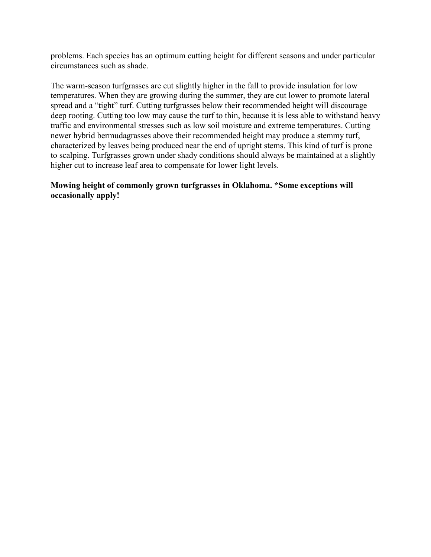problems. Each species has an optimum cutting height for different seasons and under particular circumstances such as shade.

The warm-season turfgrasses are cut slightly higher in the fall to provide insulation for low temperatures. When they are growing during the summer, they are cut lower to promote lateral spread and a "tight" turf. Cutting turfgrasses below their recommended height will discourage deep rooting. Cutting too low may cause the turf to thin, because it is less able to withstand heavy traffic and environmental stresses such as low soil moisture and extreme temperatures. Cutting newer hybrid bermudagrasses above their recommended height may produce a stemmy turf, characterized by leaves being produced near the end of upright stems. This kind of turf is prone to scalping. Turfgrasses grown under shady conditions should always be maintained at a slightly higher cut to increase leaf area to compensate for lower light levels.

#### **Mowing height of commonly grown turfgrasses in Oklahoma. \*Some exceptions will occasionally apply!**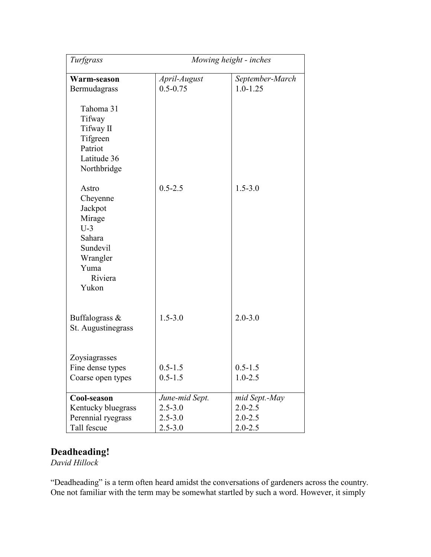| Turfgrass                                                                                                     | Mowing height - inches       |                                 |
|---------------------------------------------------------------------------------------------------------------|------------------------------|---------------------------------|
| Warm-season<br>Bermudagrass                                                                                   | April-August<br>$0.5 - 0.75$ | September-March<br>$1.0 - 1.25$ |
| Tahoma 31<br>Tifway<br>Tifway II<br>Tifgreen<br>Patriot<br>Latitude 36<br>Northbridge                         |                              |                                 |
| Astro<br>Cheyenne<br>Jackpot<br>Mirage<br>$U-3$<br>Sahara<br>Sundevil<br>Wrangler<br>Yuma<br>Riviera<br>Yukon | $0.5 - 2.5$                  | $1.5 - 3.0$                     |
| Buffalograss &<br>St. Augustinegrass                                                                          | $1.5 - 3.0$                  | $2.0 - 3.0$                     |
| Zoysiagrasses                                                                                                 |                              |                                 |
| Fine dense types                                                                                              | $0.5 - 1.5$                  | $0.5 - 1.5$                     |
| Coarse open types                                                                                             | $0.5 - 1.5$                  | $1.0 - 2.5$                     |
| Cool-season                                                                                                   | June-mid Sept.               | mid Sept.-May                   |
| Kentucky bluegrass                                                                                            | $2.5 - 3.0$                  | $2.0 - 2.5$                     |
| Perennial ryegrass                                                                                            | $2.5 - 3.0$                  | $2.0 - 2.5$                     |
| Tall fescue                                                                                                   | $2.5 - 3.0$                  | $2.0 - 2.5$                     |

## **Deadheading!**

*David Hillock*

"Deadheading" is a term often heard amidst the conversations of gardeners across the country. One not familiar with the term may be somewhat startled by such a word. However, it simply